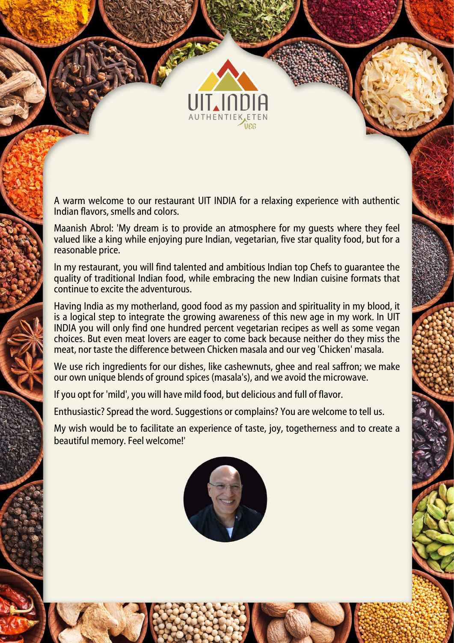

A warm welcome to our restaurant UIT INDIA for a relaxing experience with authentic Indian flavors, smells and colors.

Maanish Abrol: 'My dream is to provide an atmosphere for my guests where they feel valued like a king while enjoying pure Indian, vegetarian, five star quality food, but for a reasonable price.

In my restaurant, you will find talented and ambitious Indian top Chefs to guarantee the quality of traditional Indian food, while embracing the new Indian cuisine formats that continue to excite the adventurous.

Having India as my motherland, good food as my passion and spirituality in my blood, it is a logical step to integrate the growing awareness of this new age in my work. In UIT INDIA you will only find one hundred percent vegetarian recipes as well as some vegan choices. But even meat lovers are eager to come back because neither do they miss the meat, nor taste the difference between Chicken masala and our veg 'Chicken' masala.

We use rich ingredients for our dishes, like cashewnuts, ghee and real saffron; we make our own unique blends of ground spices (masala's), and we avoid the microwave.

If you opt for 'mild', you will have mild food, but delicious and full of flavor.

Enthusiastic? Spread the word. Suggestions or complains? You are welcome to tell us.

My wish would be to facilitate an experience of taste, joy, togetherness and to create a beautiful memory. Feel welcome!'

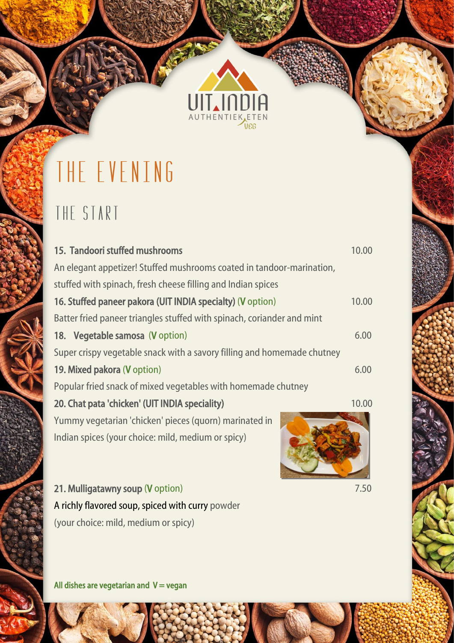

新

## THE EVENING

#### THE START

| 15. Tandoori stuffed mushrooms                                          | 10.00 |
|-------------------------------------------------------------------------|-------|
| An elegant appetizer! Stuffed mushrooms coated in tandoor-marination,   |       |
| stuffed with spinach, fresh cheese filling and Indian spices            |       |
| 16. Stuffed paneer pakora (UIT INDIA specialty) (V option)              | 10.00 |
| Batter fried paneer triangles stuffed with spinach, coriander and mint  |       |
| 18. Vegetable samosa (V option)                                         | 6.00  |
| Super crispy vegetable snack with a savory filling and homemade chutney |       |
| 19. Mixed pakora (V option)                                             | 6.00  |
| Popular fried snack of mixed vegetables with homemade chutney           |       |
| 20. Chat pata 'chicken' (UIT INDIA speciality)                          | 10.00 |
| Yummy vegetarian 'chicken' pieces (quorn) marinated in                  |       |
| Indian spices (your choice: mild, medium or spicy)                      |       |

21. Mulligatawny soup (V option) 7.50 A richly flavored soup, spiced with curry powder (your choice: mild, medium or spicy)

All dishes are vegetarian and  $V = v$ egan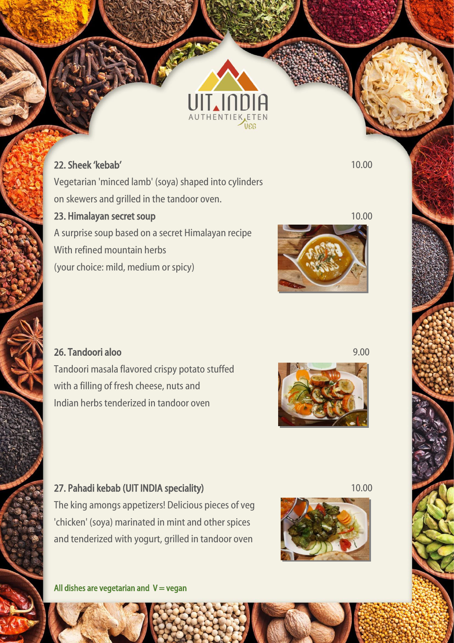

#### 22. Sheek 'kebab' 10.00

ļ

Í

I

i<br>Santa Contra de Santa Contra de Santa Contra de Santa Contra de Santa Contra de Santa Contra de Santa Contra d

Vegetarian 'minced lamb' (soya) shaped into cylinders on skewers and grilled in the tandoor oven.

#### **23. Himalayan secret soup 10.00 and 10.00 and 10.00 and 10.00 and 10.00 and 10.00 and 10.00 and 10.00 and 10.00**

A surprise soup based on a secret Himalayan recipe With refined mountain herbs (your choice: mild, medium or spicy)



#### 26. Tandoori aloo 9.00

Tandoori masala flavored crispy potato stuffed with a filling of fresh cheese, nuts and Indian herbs tenderized in tandoor oven



#### 27. Pahadi kebab (UIT INDIA speciality) 10.00

The king amongs appetizers! Delicious pieces of veg 'chicken' (soya) marinated in mint and other spices and tenderized with yogurt, grilled in tandoor oven



All dishes are vegetarian and  $V = v$ egan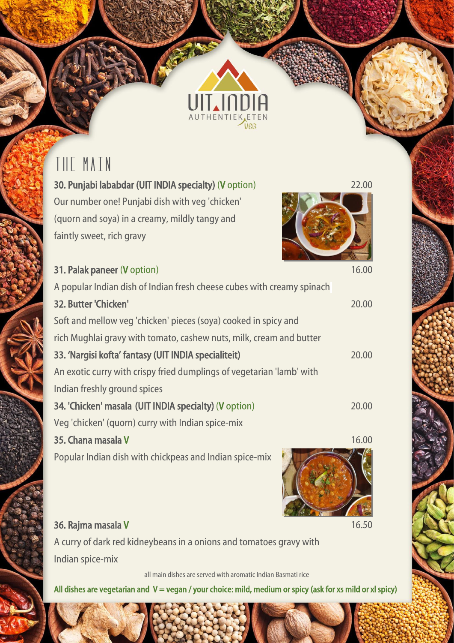## THE MAIN

faintly sweet, rich gravy

Our number one! Punjabi dish with veg 'chicken'

(quorn and soya) in a creamy, mildly tangy and

ļ



| 31. Palak paneer (V option)                                            | 16.00 |
|------------------------------------------------------------------------|-------|
| A popular Indian dish of Indian fresh cheese cubes with creamy spinach |       |
| 32. Butter 'Chicken'                                                   | 20.00 |
| Soft and mellow veg 'chicken' pieces (soya) cooked in spicy and        |       |
| rich Mughlai gravy with tomato, cashew nuts, milk, cream and butter    |       |
| 33. 'Nargisi kofta' fantasy (UIT INDIA specialiteit)                   | 20.00 |
| An exotic curry with crispy fried dumplings of vegetarian 'lamb' with  |       |
| Indian freshly ground spices                                           |       |
| 34. 'Chicken' masala (UIT INDIA specialty) (V option)                  | 20.00 |
| Veg 'chicken' (quorn) curry with Indian spice-mix                      |       |
| 35. Chana masala V                                                     | 16.00 |
| Popular Indian dish with chickpeas and Indian spice-mix                |       |

THENT

#### 36. Rajma masala V 16.50

A curry of dark red kidneybeans in a onions and tomatoes gravy with Indian spice-mix

all main dishes are served with aromatic Indian Basmati rice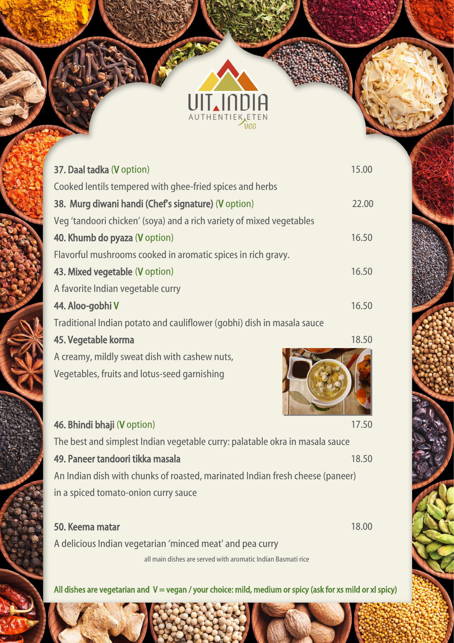

新

ļ

í

ļ

| 37. Daal tadka (V option)                                                     | 15.00 |
|-------------------------------------------------------------------------------|-------|
| Cooked lentils tempered with ghee-fried spices and herbs                      |       |
| 38. Murg diwani handi (Chef's signature) (V option)                           | 22.00 |
| Veg 'tandoori chicken' (soya) and a rich variety of mixed vegetables          |       |
| 40. Khumb do pyaza (V option)                                                 | 16.50 |
| Flavorful mushrooms cooked in aromatic spices in rich gravy.                  |       |
| 43. Mixed vegetable (V option)                                                | 16.50 |
| A favorite Indian vegetable curry                                             |       |
| 44. Aloo-gobhi V                                                              | 16.50 |
| Traditional Indian potato and cauliflower (gobhi) dish in masala sauce        |       |
| 45. Vegetable korma                                                           | 18.50 |
| A creamy, mildly sweat dish with cashew nuts,                                 |       |
| Vegetables, fruits and lotus-seed garnishing                                  |       |
|                                                                               |       |
| 46. Bhindi bhaji (V option)                                                   | 17.50 |
| The best and simplest Indian vegetable curry: palatable okra in masala sauce  |       |
| 49. Paneer tandoori tikka masala                                              | 18.50 |
| An Indian dish with chunks of roasted, marinated Indian fresh cheese (paneer) |       |
| in a spiced tomato-onion curry sauce                                          |       |
| 50. Keema matar                                                               | 18.00 |
| A delicious Indian vegetarian 'minced meat' and pea curry                     |       |

all main dishes are served with aromatic Indian Basmati rice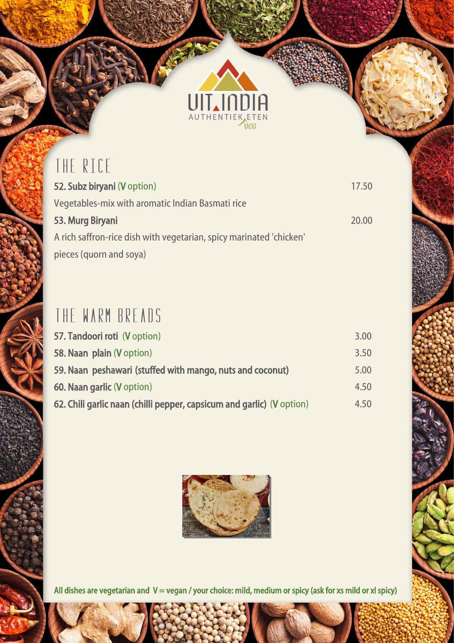# AUTHENTIEK ETEN

**READER** 

## THE RICE

ļ

i

ļ

ł

| 52. Subz biryani (V option)                                         | 17.50 |
|---------------------------------------------------------------------|-------|
| Vegetables-mix with aromatic Indian Basmati rice                    |       |
| 53. Murg Biryani                                                    | 20.00 |
| A rich saffron-rice dish with vegetarian, spicy marinated 'chicken' |       |
| pieces (quorn and soya)                                             |       |

#### THE WARM BREADS

| 57. Tandoori roti (V option)                                          | 3.00 |
|-----------------------------------------------------------------------|------|
| 58. Naan plain (V option)                                             | 3.50 |
| 59. Naan peshawari (stuffed with mango, nuts and coconut)             | 5.00 |
| 60. Naan garlic (V option)                                            | 4.50 |
| 62. Chili garlic naan (chilli pepper, capsicum and garlic) (V option) | 4.50 |

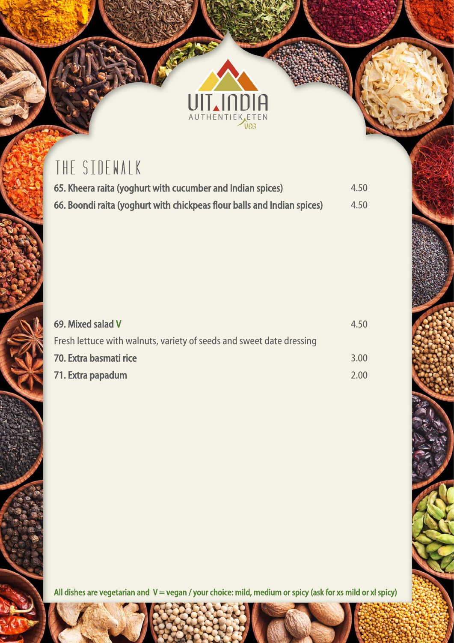

#### THE SIDEWALK

| 65. Kheera raita (yoghurt with cucumber and Indian spices)              | 4.50 |
|-------------------------------------------------------------------------|------|
| 66. Boondi raita (yoghurt with chickpeas flour balls and Indian spices) | 4.50 |

有

| 69. Mixed salad V                                                    | 4.50 |
|----------------------------------------------------------------------|------|
| Fresh lettuce with walnuts, variety of seeds and sweet date dressing |      |
| 70. Extra basmati rice                                               | 3.00 |
| 71. Extra papadum                                                    | 2.00 |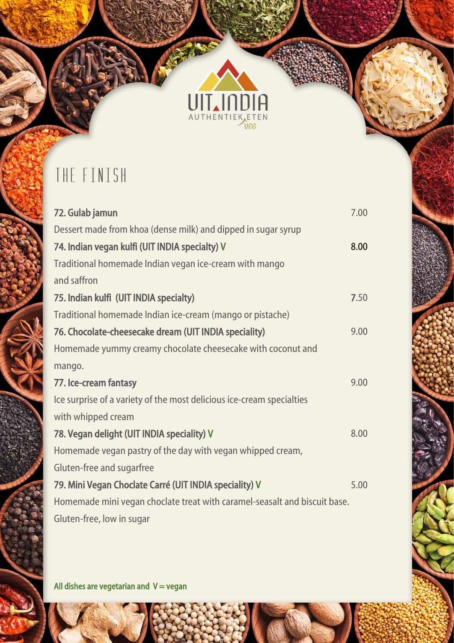

THE RES

### THE FINISH

ļ

Í

I

i<br>Samuel Sales

| 72. Gulab jamun                                                           | 7.00 |
|---------------------------------------------------------------------------|------|
| Dessert made from khoa (dense milk) and dipped in sugar syrup             |      |
| 74. Indian vegan kulfi (UIT INDIA specialty) V                            | 8.00 |
| Traditional homemade Indian vegan ice-cream with mango                    |      |
| and saffron                                                               |      |
| 75. Indian kulfi (UIT INDIA specialty)                                    | 7.50 |
| Traditional homemade Indian ice-cream (mango or pistache)                 |      |
| 76. Chocolate-cheesecake dream (UIT INDIA speciality)                     | 9.00 |
| Homemade yummy creamy chocolate cheesecake with coconut and               |      |
| mango.                                                                    |      |
| 77. Ice-cream fantasy                                                     | 9.00 |
| Ice surprise of a variety of the most delicious ice-cream specialties     |      |
| with whipped cream                                                        |      |
| 78. Vegan delight (UIT INDIA speciality) V                                | 8.00 |
| Homemade vegan pastry of the day with vegan whipped cream,                |      |
| Gluten-free and sugarfree                                                 |      |
| 79. Mini Vegan Choclate Carré (UIT INDIA speciality) V                    | 5.00 |
| Homemade mini vegan choclate treat with caramel-seasalt and biscuit base. |      |
| Gluten-free, low in sugar                                                 |      |

All dishes are vegetarian and  $V = v$ egan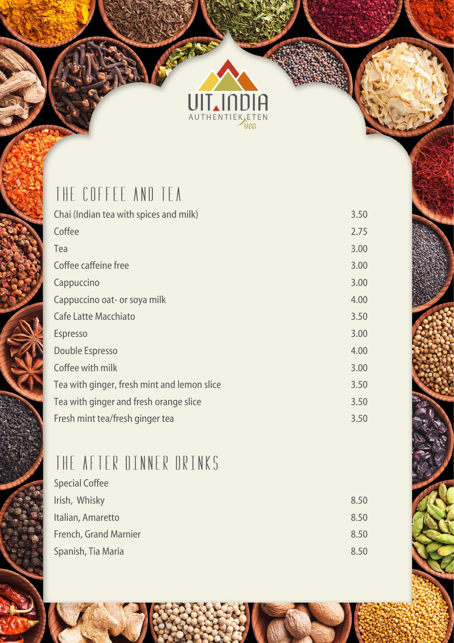

新闻

#### THE COFFEE AND TEA

| Chai (Indian tea with spices and milk)      | 3.50 |
|---------------------------------------------|------|
| Coffee                                      | 2.75 |
| Tea                                         | 3.00 |
| Coffee caffeine free                        | 3.00 |
| Cappuccino                                  | 3.00 |
| Cappuccino oat- or soya milk                | 4.00 |
| <b>Cafe Latte Macchiato</b>                 | 3.50 |
| <b>Espresso</b>                             | 3.00 |
| <b>Double Espresso</b>                      | 4.00 |
| Coffee with milk                            | 3.00 |
| Tea with ginger, fresh mint and lemon slice | 3.50 |
| Tea with ginger and fresh orange slice      | 3.50 |
| Fresh mint tea/fresh ginger tea             | 3.50 |
|                                             |      |

## THE AFTER DINNER DRINKS

| 8.50 |
|------|
| 8.50 |
| 8.50 |
| 8.50 |
|      |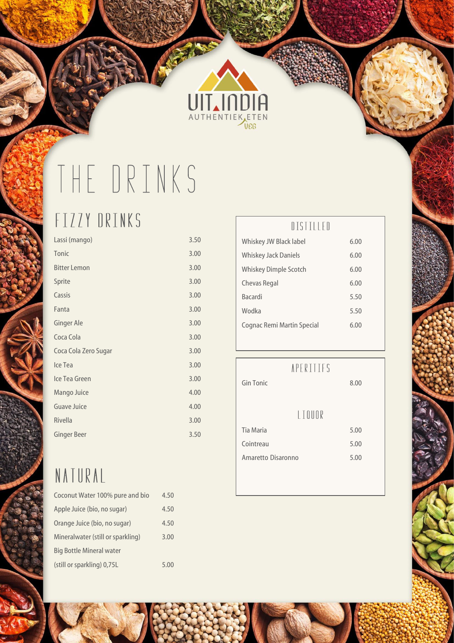

## THE DRINKS

## FIZZY DRINKS

| Lassi (mango)        | 3.50 |
|----------------------|------|
| Tonic                | 3.00 |
| Bitter Lemon         | 3.00 |
| Sprite               | 3.00 |
| Cassis               | 3.00 |
| Fanta                | 3.00 |
| Ginger Ale           | 3.00 |
| Coca Cola            | 3.00 |
| Coca Cola Zero Sugar | 3.00 |
| Ice Tea              | 3.00 |
| Ice Tea Green        | 3.00 |
| Mango Juice          | 4.00 |
| Guave Juice          | 4.00 |
| Rivella              | 3.00 |
| <b>Ginger Beer</b>   | 3.50 |
|                      |      |

## NATURAL

| Coconut Water 100% pure and bio   | 4.50 |
|-----------------------------------|------|
| Apple Juice (bio, no sugar)       | 4.50 |
| Orange Juice (bio, no sugar)      | 4.50 |
| Mineralwater (still or sparkling) | 3.00 |
| <b>Big Bottle Mineral water</b>   |      |
| (still or sparkling) 0,75L        | 5.00 |

#### DISTILLED

| Whiskey JW Black label      | 6.00 |
|-----------------------------|------|
| <b>Whiskey Jack Daniels</b> | 6.00 |
| Whiskey Dimple Scotch       | 6.00 |
| Chevas Regal                | 6.00 |
| <b>Bacardi</b>              | 5.50 |
| Wodka                       | 5.50 |
| Cognac Remi Martin Special  | 6.00 |
|                             |      |

#### **APERITIFS**

| Gin Tonic          | 8.00 |
|--------------------|------|
| LIOUOR             |      |
| Tia Maria          | 5.00 |
| Cointreau          | 5.00 |
| Amaretto Disaronno | 5.00 |
|                    |      |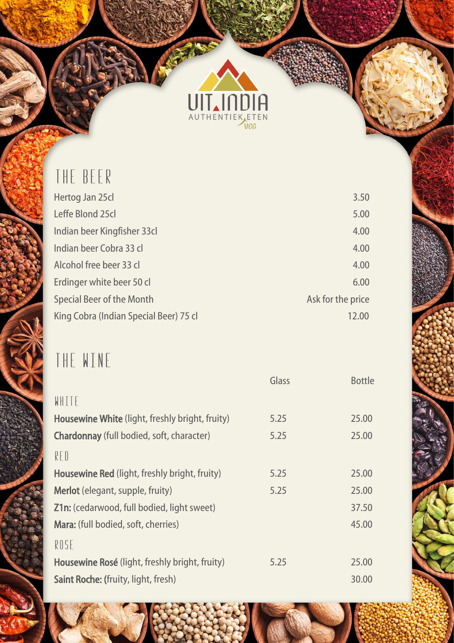

家

#### THE BEER

| Hertog Jan 25cl                        | 3.50              |
|----------------------------------------|-------------------|
| Leffe Blond 25cl                       | 5.00              |
| Indian beer Kingfisher 33cl            | 4.00              |
| Indian beer Cobra 33 cl                | 4.00              |
| Alcohol free beer 33 cl                | 4.00              |
| Erdinger white beer 50 cl              | 6.00              |
| <b>Special Beer of the Month</b>       | Ask for the price |
| King Cobra (Indian Special Beer) 75 cl | 12.00             |
|                                        |                   |

## THE WINE

|                                                   | Glass | <b>Bottle</b> |
|---------------------------------------------------|-------|---------------|
| WHITE                                             |       |               |
| Housewine White (light, freshly bright, fruity)   | 5.25  | 25.00         |
| Chardonnay (full bodied, soft, character)         | 5.25  | 25.00         |
| RFD                                               |       |               |
| Housewine Red (light, freshly bright, fruity)     | 5.25  | 25.00         |
| <b>Merlot</b> (elegant, supple, fruity)           | 5.25  | 25.00         |
| <b>Z1n:</b> (cedarwood, full bodied, light sweet) |       | 37.50         |
| Mara: (full bodied, soft, cherries)               |       | 45.00         |
| ROSE                                              |       |               |
| Housewine Rosé (light, freshly bright, fruity)    | 5.25  | 25.00         |
| <b>Saint Roche: (fruity, light, fresh)</b>        |       | 30.00         |
|                                                   |       |               |